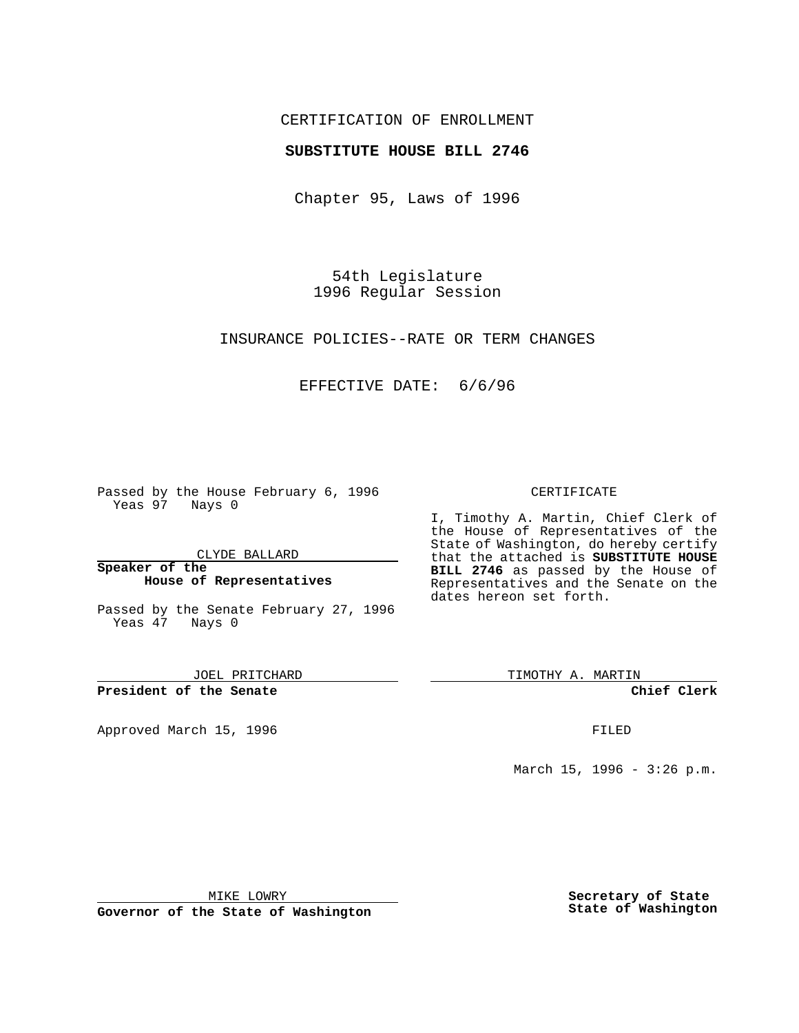## CERTIFICATION OF ENROLLMENT

## **SUBSTITUTE HOUSE BILL 2746**

Chapter 95, Laws of 1996

54th Legislature 1996 Regular Session

INSURANCE POLICIES--RATE OR TERM CHANGES

# EFFECTIVE DATE: 6/6/96

Passed by the House February 6, 1996 Yeas 97 Nays 0

CLYDE BALLARD

#### **Speaker of the House of Representatives**

Passed by the Senate February 27, 1996 Yeas 47 Nays 0

JOEL PRITCHARD

**President of the Senate**

Approved March 15, 1996 FILED

### CERTIFICATE

I, Timothy A. Martin, Chief Clerk of the House of Representatives of the State of Washington, do hereby certify that the attached is **SUBSTITUTE HOUSE BILL 2746** as passed by the House of Representatives and the Senate on the dates hereon set forth.

TIMOTHY A. MARTIN

**Chief Clerk**

March 15, 1996 - 3:26 p.m.

MIKE LOWRY

**Governor of the State of Washington**

**Secretary of State State of Washington**